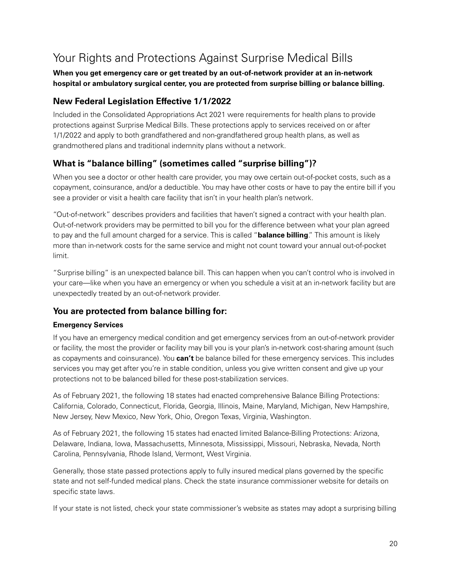# Your Rights and Protections Against Surprise Medical Bills

#### **When you get emergency care or get treated by an out-of-network provider at an in-network hospital or ambulatory surgical center, you are protected from surprise billing or balance billing.**

## **New Federal Legislation Effective 1/1/2022**

Included in the Consolidated Appropriations Act 2021 were requirements for health plans to provide protections against Surprise Medical Bills. These protections apply to services received on or after 1/1/2022 and apply to both grandfathered and non-grandfathered group health plans, as well as grandmothered plans and traditional indemnity plans without a network.

# **What is "balance billing" (sometimes called "surprise billing")?**

When you see a doctor or other health care provider, you may owe certain out-of-pocket costs, such as a copayment, coinsurance, and/or a deductible. You may have other costs or have to pay the entire bill if you see a provider or visit a health care facility that isn't in your health plan's network.

"Out-of-network" describes providers and facilities that haven't signed a contract with your health plan. Out-of-network providers may be permitted to bill you for the difference between what your plan agreed to pay and the full amount charged for a service. This is called "**balance billing**." This amount is likely more than in-network costs for the same service and might not count toward your annual out-of-pocket limit.

"Surprise billing" is an unexpected balance bill. This can happen when you can't control who is involved in your care—like when you have an emergency or when you schedule a visit at an in-network facility but are unexpectedly treated by an out-of-network provider.

# **You are protected from balance billing for:**

#### **Emergency Services**

If you have an emergency medical condition and get emergency services from an out-of-network provider or facility, the most the provider or facility may bill you is your plan's in-network cost-sharing amount (such as copayments and coinsurance). You **can't** be balance billed for these emergency services. This includes services you may get after you're in stable condition, unless you give written consent and give up your protections not to be balanced billed for these post-stabilization services.

As of February 2021, the following 18 states had enacted comprehensive Balance Billing Protections: California, Colorado, Connecticut, Florida, Georgia, Illinois, Maine, Maryland, Michigan, New Hampshire, New Jersey, New Mexico, New York, Ohio, Oregon Texas, Virginia, Washington.

As of February 2021, the following 15 states had enacted limited Balance-Billing Protections: Arizona, Delaware, Indiana, Iowa, Massachusetts, Minnesota, Mississippi, Missouri, Nebraska, Nevada, North Carolina, Pennsylvania, Rhode Island, Vermont, West Virginia.

Generally, those state passed protections apply to fully insured medical plans governed by the specific state and not self-funded medical plans. Check the state insurance commissioner website for details on specific state laws.

If your state is not listed, check your state commissioner's website as states may adopt a surprising billing